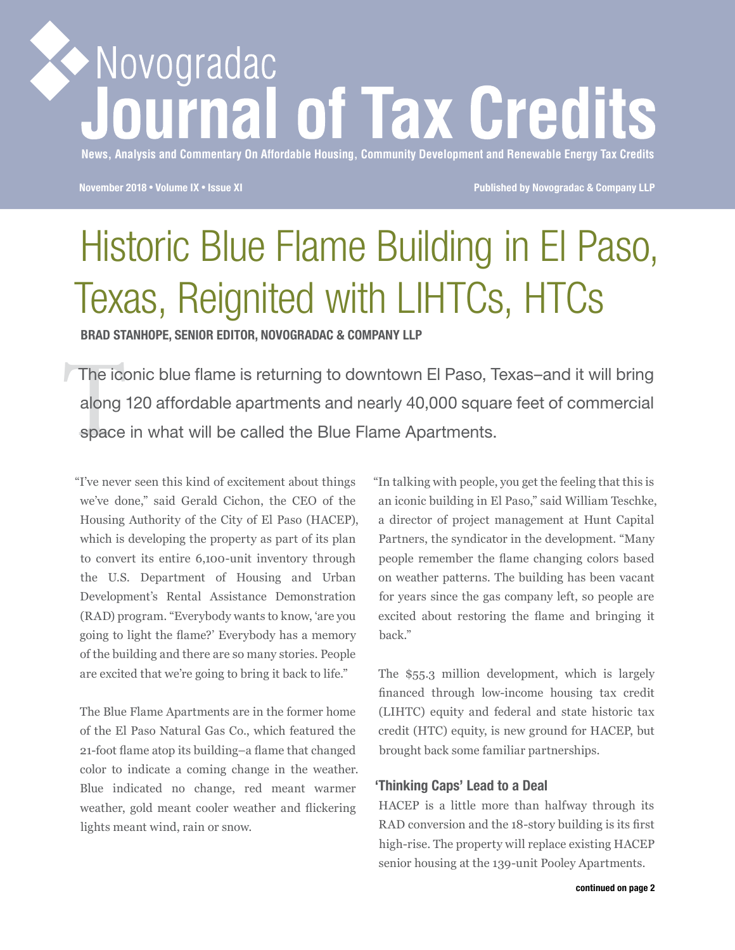# Novogradac irnal of Tax Credits

**News, Analysis and Commentary On Affordable Housing, Community Development and Renewable Energy Tax Credits**

**November 2018** • **Volume IX** • **Issue XI Published by Novogradac & Company LLP**

# Historic Blue Flame Building in El Paso, Texas, Reignited with LIHTCs, HTCs

**BRAD STANHOPE, SENIOR EDITOR, NOVOGRADAC & COMPANY LLP**

The icondecident<br>along<br>space The iconic blue flame is returning to downtown El Paso, Texas–and it will bring along 120 affordable apartments and nearly 40,000 square feet of commercial space in what will be called the Blue Flame Apartments.

"I've never seen this kind of excitement about things we've done," said Gerald Cichon, the CEO of the Housing Authority of the City of El Paso (HACEP), which is developing the property as part of its plan to convert its entire 6,100-unit inventory through the U.S. Department of Housing and Urban Development's Rental Assistance Demonstration (RAD) program. "Everybody wants to know, 'are you going to light the flame?' Everybody has a memory of the building and there are so many stories. People are excited that we're going to bring it back to life."

The Blue Flame Apartments are in the former home of the El Paso Natural Gas Co., which featured the 21-foot flame atop its building–a flame that changed color to indicate a coming change in the weather. Blue indicated no change, red meant warmer weather, gold meant cooler weather and flickering lights meant wind, rain or snow.

"In talking with people, you get the feeling that this is an iconic building in El Paso," said William Teschke, a director of project management at Hunt Capital Partners, the syndicator in the development. "Many people remember the flame changing colors based on weather patterns. The building has been vacant for years since the gas company left, so people are excited about restoring the flame and bringing it back."

The \$55.3 million development, which is largely financed through low-income housing tax credit (LIHTC) equity and federal and state historic tax credit (HTC) equity, is new ground for HACEP, but brought back some familiar partnerships.

#### **'Thinking Caps' Lead to a Deal**

HACEP is a little more than halfway through its RAD conversion and the 18-story building is its first high-rise. The property will replace existing HACEP senior housing at the 139-unit Pooley Apartments.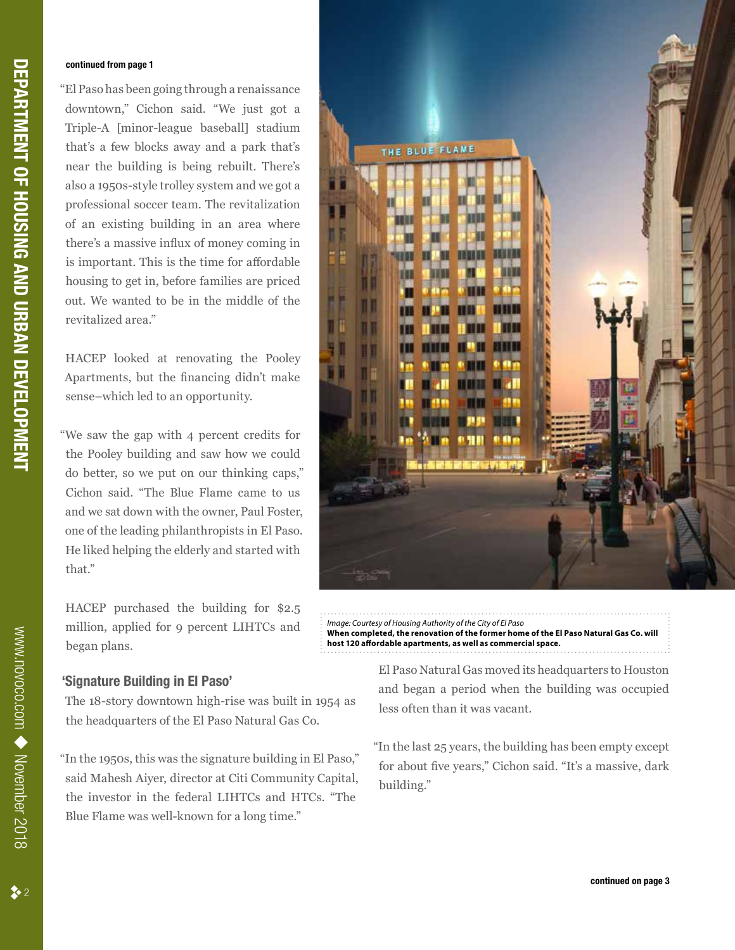#### **continued from page 1**

"El Paso has been going through a renaissance downtown," Cichon said. "We just got a Triple-A [minor-league baseball] stadium that's a few blocks away and a park that's near the building is being rebuilt. There's also a 1950s-style trolley system and we got a professional soccer team. The revitalization of an existing building in an area where there's a massive influx of money coming in is important. This is the time for affordable housing to get in, before families are priced out. We wanted to be in the middle of the revitalized area."

HACEP looked at renovating the Pooley Apartments, but the financing didn't make sense–which led to an opportunity.

"We saw the gap with 4 percent credits for the Pooley building and saw how we could do better, so we put on our thinking caps," Cichon said. "The Blue Flame came to us and we sat down with the owner, Paul Foster, one of the leading philanthropists in El Paso. He liked helping the elderly and started with that."

HACEP purchased the building for \$2.5 million, applied for 9 percent LIHTCs and began plans.

#### **'Signature Building in El Paso'**

The 18-story downtown high-rise was built in 1954 as the headquarters of the El Paso Natural Gas Co.

"In the 1950s, this was the signature building in El Paso," said Mahesh Aiyer, director at Citi Community Capital, the investor in the federal LIHTCs and HTCs. "The Blue Flame was well-known for a long time."



*Image: Courtesy of Housing Authority of the City of El Paso* **When completed, the renovation of the former home of the El Paso Natural Gas Co. will host 120 affordable apartments, as well as commercial space.**

> El Paso Natural Gas moved its headquarters to Houston and began a period when the building was occupied less often than it was vacant.

"In the last 25 years, the building has been empty except for about five years," Cichon said. "It's a massive, dark building."

www.novoco.com

www.novoco.com ◆ November 2018

November 2018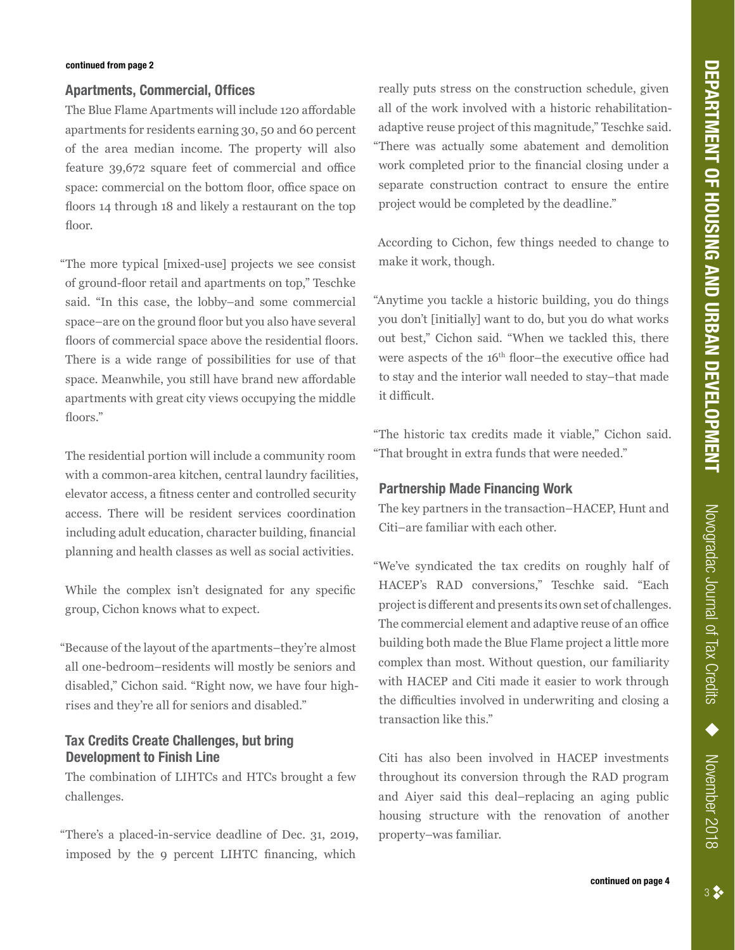#### **Apartments, Commercial, Offices**

The Blue Flame Apartments will include 120 affordable apartments for residents earning 30, 50 and 60 percent of the area median income. The property will also feature 39,672 square feet of commercial and office space: commercial on the bottom floor, office space on floors 14 through 18 and likely a restaurant on the top floor.

"The more typical [mixed-use] projects we see consist of ground-floor retail and apartments on top," Teschke said. "In this case, the lobby–and some commercial space–are on the ground floor but you also have several floors of commercial space above the residential floors. There is a wide range of possibilities for use of that space. Meanwhile, you still have brand new affordable apartments with great city views occupying the middle floors."

The residential portion will include a community room with a common-area kitchen, central laundry facilities, elevator access, a fitness center and controlled security access. There will be resident services coordination including adult education, character building, financial planning and health classes as well as social activities.

While the complex isn't designated for any specific group, Cichon knows what to expect.

"Because of the layout of the apartments–they're almost all one-bedroom–residents will mostly be seniors and disabled," Cichon said. "Right now, we have four highrises and they're all for seniors and disabled."

## **Tax Credits Create Challenges, but bring Development to Finish Line**

The combination of LIHTCs and HTCs brought a few challenges.

"There's a placed-in-service deadline of Dec. 31, 2019, imposed by the 9 percent LIHTC financing, which

really puts stress on the construction schedule, given all of the work involved with a historic rehabilitationadaptive reuse project of this magnitude," Teschke said. "There was actually some abatement and demolition work completed prior to the financial closing under a separate construction contract to ensure the entire project would be completed by the deadline."

According to Cichon, few things needed to change to make it work, though.

"Anytime you tackle a historic building, you do things you don't [initially] want to do, but you do what works out best," Cichon said. "When we tackled this, there were aspects of the 16<sup>th</sup> floor–the executive office had to stay and the interior wall needed to stay–that made it difficult.

"The historic tax credits made it viable," Cichon said. "That brought in extra funds that were needed."

#### **Partnership Made Financing Work**

The key partners in the transaction–HACEP, Hunt and Citi–are familiar with each other.

"We've syndicated the tax credits on roughly half of HACEP's RAD conversions," Teschke said. "Each project is different and presents its own set of challenges. The commercial element and adaptive reuse of an office building both made the Blue Flame project a little more complex than most. Without question, our familiarity with HACEP and Citi made it easier to work through the difficulties involved in underwriting and closing a transaction like this."

Citi has also been involved in HACEP investments throughout its conversion through the RAD program and Aiyer said this deal–replacing an aging public housing structure with the renovation of another property–was familiar.

November 2018

Novogradac Journal of Tax Credits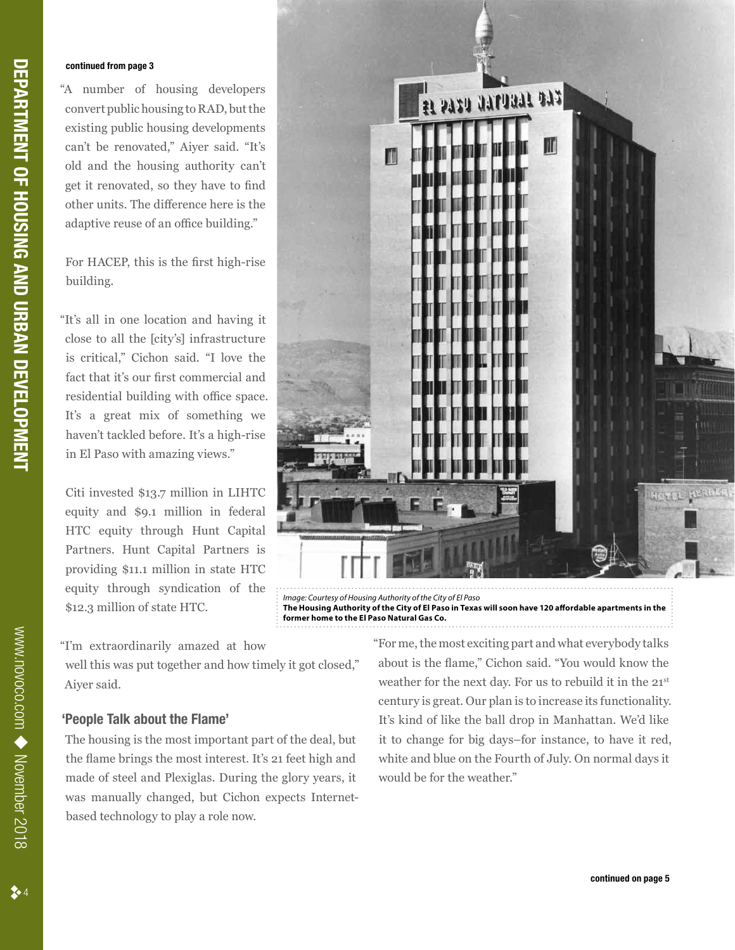#### **continued from page 3**

"A number of housing developers convert public housing to RAD, but the existing public housing developments can't be renovated," Aiyer said. "It's old and the housing authority can't get it renovated, so they have to find other units. The difference here is the adaptive reuse of an office building."

For HACEP, this is the first high-rise building.

"It's all in one location and having it close to all the [city's] infrastructure is critical," Cichon said. "I love the fact that it's our first commercial and residential building with office space. It's a great mix of something we haven't tackled before. It's a high-rise in El Paso with amazing views."

Citi invested \$13.7 million in LIHTC equity and \$9.1 million in federal HTC equity through Hunt Capital Partners. Hunt Capital Partners is providing \$11.1 million in state HTC equity through syndication of the \$12.3 million of state HTC.

"I'm extraordinarily amazed at how

well this was put together and how timely it got closed," Aiyer said.

#### **'People Talk about the Flame'**

The housing is the most important part of the deal, but the flame brings the most interest. It's 21 feet high and made of steel and Plexiglas. During the glory years, it was manually changed, but Cichon expects Internetbased technology to play a role now.



*Image: Courtesy of Housing Authority of the City of El Paso* **The Housing Authority of the City of El Paso in Texas will soon have 120 affordable apartments in the former home to the El Paso Natural Gas Co.**

> "For me, the most exciting part and what everybody talks about is the flame," Cichon said. "You would know the weather for the next day. For us to rebuild it in the 21st century is great. Our plan is to increase its functionality. It's kind of like the ball drop in Manhattan. We'd like it to change for big days–for instance, to have it red, white and blue on the Fourth of July. On normal days it would be for the weather."

 $2 \cdot 4$ 

www.novoco.com